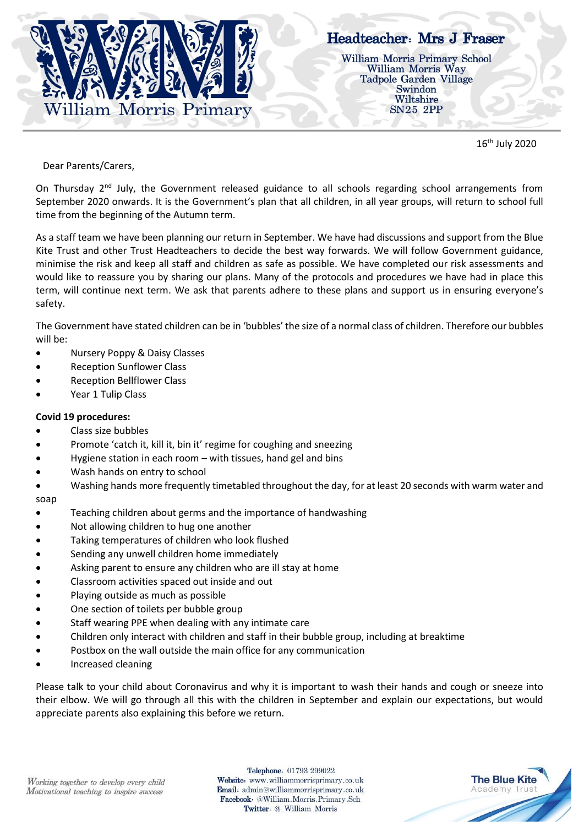

16th July 2020

Dear Parents/Carers,

On Thursday 2<sup>nd</sup> July, the Government released guidance to all schools regarding school arrangements from September 2020 onwards. It is the Government's plan that all children, in all year groups, will return to school full time from the beginning of the Autumn term.

As a staff team we have been planning our return in September. We have had discussions and support from the Blue Kite Trust and other Trust Headteachers to decide the best way forwards. We will follow Government guidance, minimise the risk and keep all staff and children as safe as possible. We have completed our risk assessments and would like to reassure you by sharing our plans. Many of the protocols and procedures we have had in place this term, will continue next term. We ask that parents adhere to these plans and support us in ensuring everyone's safety.

The Government have stated children can be in 'bubbles' the size of a normal class of children. Therefore our bubbles will be:

- Nursery Poppy & Daisy Classes
- Reception Sunflower Class
- Reception Bellflower Class
- Year 1 Tulip Class

#### **Covid 19 procedures:**

- Class size bubbles
- Promote 'catch it, kill it, bin it' regime for coughing and sneezing
- Hygiene station in each room with tissues, hand gel and bins
- Wash hands on entry to school
- Washing hands more frequently timetabled throughout the day, for at least 20 seconds with warm water and soap
- Teaching children about germs and the importance of handwashing
- Not allowing children to hug one another
- Taking temperatures of children who look flushed
- Sending any unwell children home immediately
- Asking parent to ensure any children who are ill stay at home
- Classroom activities spaced out inside and out
- Playing outside as much as possible
- One section of toilets per bubble group
- Staff wearing PPE when dealing with any intimate care
- Children only interact with children and staff in their bubble group, including at breaktime
- Postbox on the wall outside the main office for any communication
- Increased cleaning

Please talk to your child about Coronavirus and why it is important to wash their hands and cough or sneeze into their elbow. We will go through all this with the children in September and explain our expectations, but would appreciate parents also explaining this before we return.

Telephone: 01793 299022 Website: www.williammorrisprimary.co.uk Email: admin@williammorrisprimary.co.uk Facebook: @William.Morris.Primary.Sch Twitter: @\_William\_Morris

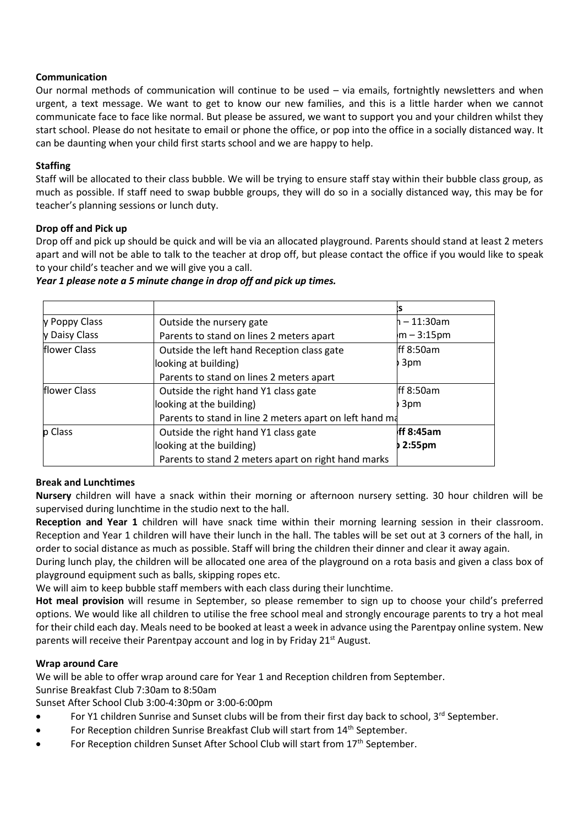### **Communication**

Our normal methods of communication will continue to be used – via emails, fortnightly newsletters and when urgent, a text message. We want to get to know our new families, and this is a little harder when we cannot communicate face to face like normal. But please be assured, we want to support you and your children whilst they start school. Please do not hesitate to email or phone the office, or pop into the office in a socially distanced way. It can be daunting when your child first starts school and we are happy to help.

## **Staffing**

Staff will be allocated to their class bubble. We will be trying to ensure staff stay within their bubble class group, as much as possible. If staff need to swap bubble groups, they will do so in a socially distanced way, this may be for teacher's planning sessions or lunch duty.

### **Drop off and Pick up**

Drop off and pick up should be quick and will be via an allocated playground. Parents should stand at least 2 meters apart and will not be able to talk to the teacher at drop off, but please contact the office if you would like to speak to your child's teacher and we will give you a call.

| y Poppy Class        | Outside the nursery gate                                | ⊢– 11:30am         |
|----------------------|---------------------------------------------------------|--------------------|
| Daisy Class          | Parents to stand on lines 2 meters apart                | $m - 3:15pm$       |
| <b>Iflower Class</b> | Outside the left hand Reception class gate              | Iff $8:50am$       |
|                      | looking at building)                                    | 3pm                |
|                      | Parents to stand on lines 2 meters apart                |                    |
| flower Class         | Outside the right hand Y1 class gate                    | Iff $8:50am$       |
|                      | looking at the building)                                | 3pm                |
|                      | Parents to stand in line 2 meters apart on left hand ma |                    |
| p Class              | Outside the right hand Y1 class gate                    | ff 8:45am          |
|                      | looking at the building)                                | 2:55 <sub>pm</sub> |
|                      | Parents to stand 2 meters apart on right hand marks     |                    |

### *Year 1 please note a 5 minute change in drop off and pick up times.*

# **Break and Lunchtimes**

**Nursery** children will have a snack within their morning or afternoon nursery setting. 30 hour children will be supervised during lunchtime in the studio next to the hall.

**Reception and Year 1** children will have snack time within their morning learning session in their classroom. Reception and Year 1 children will have their lunch in the hall. The tables will be set out at 3 corners of the hall, in order to social distance as much as possible. Staff will bring the children their dinner and clear it away again.

During lunch play, the children will be allocated one area of the playground on a rota basis and given a class box of playground equipment such as balls, skipping ropes etc.

We will aim to keep bubble staff members with each class during their lunchtime.

**Hot meal provision** will resume in September, so please remember to sign up to choose your child's preferred options. We would like all children to utilise the free school meal and strongly encourage parents to try a hot meal for their child each day. Meals need to be booked at least a week in advance using the Parentpay online system. New parents will receive their Parentpay account and  $log$  in by Friday 21st August.

### **Wrap around Care**

We will be able to offer wrap around care for Year 1 and Reception children from September.

Sunrise Breakfast Club 7:30am to 8:50am

Sunset After School Club 3:00-4:30pm or 3:00-6:00pm

- For Y1 children Sunrise and Sunset clubs will be from their first day back to school, 3rd September.
- For Reception children Sunrise Breakfast Club will start from 14<sup>th</sup> September.
- For Reception children Sunset After School Club will start from 17<sup>th</sup> September.